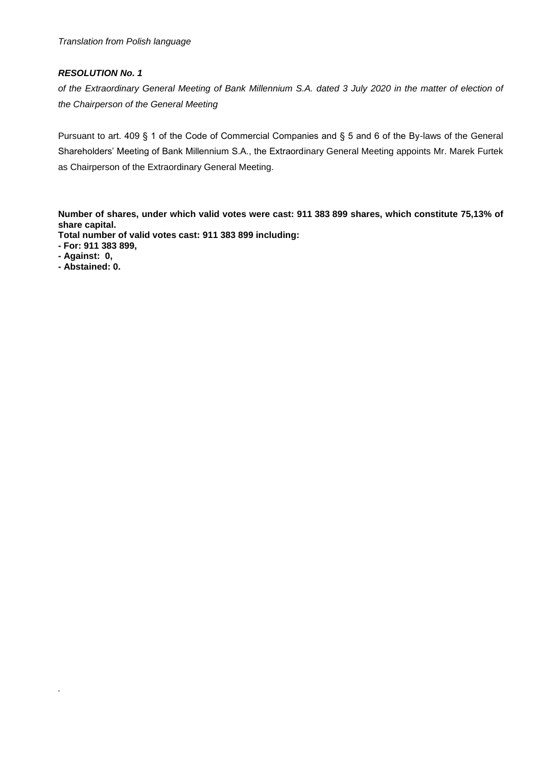# *RESOLUTION No. 1*

*of the Extraordinary General Meeting of Bank Millennium S.A. dated 3 July 2020 in the matter of election of the Chairperson of the General Meeting*

Pursuant to art. 409 § 1 of the Code of Commercial Companies and § 5 and 6 of the By-laws of the General Shareholders' Meeting of Bank Millennium S.A., the Extraordinary General Meeting appoints Mr. Marek Furtek as Chairperson of the Extraordinary General Meeting.

**Number of shares, under which valid votes were cast: 911 383 899 shares, which constitute 75,13% of share capital.**

**Total number of valid votes cast: 911 383 899 including:**

- **- For: 911 383 899,**
- **- Against: 0,**

*.*

**- Abstained: 0.**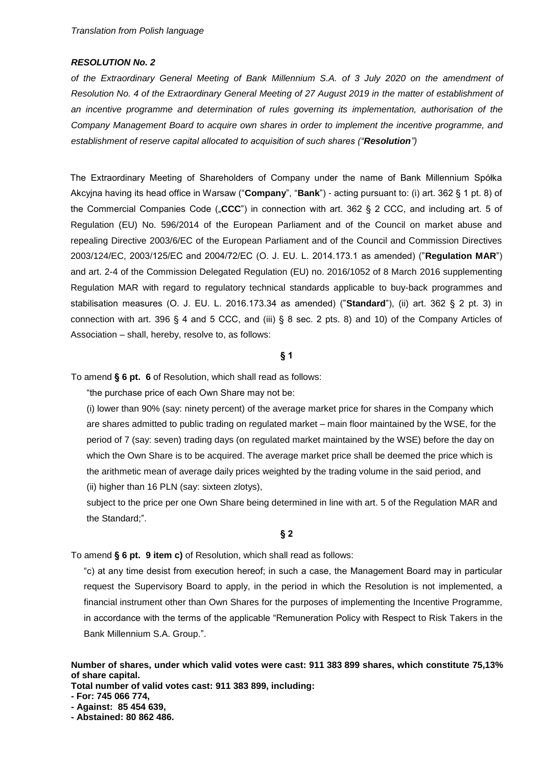### *RESOLUTION No. 2*

*of the Extraordinary General Meeting of Bank Millennium S.A. of 3 July 2020 on the amendment of Resolution No. 4 of the Extraordinary General Meeting of 27 August 2019 in the matter of establishment of an incentive programme and determination of rules governing its implementation, authorisation of the Company Management Board to acquire own shares in order to implement the incentive programme, and establishment of reserve capital allocated to acquisition of such shares ("Resolution")*

The Extraordinary Meeting of Shareholders of Company under the name of Bank Millennium Spółka Akcyjna having its head office in Warsaw ("**Company**", "**Bank**") - acting pursuant to: (i) art. 362 § 1 pt. 8) of the Commercial Companies Code ("CCC") in connection with art. 362 § 2 CCC, and including art. 5 of Regulation (EU) No. 596/2014 of the European Parliament and of the Council on market abuse and repealing Directive 2003/6/EC of the European Parliament and of the Council and Commission Directives 2003/124/EC, 2003/125/EC and 2004/72/EC (O. J. EU. L. 2014.173.1 as amended) ("**Regulation MAR**") and art. 2-4 of the Commission Delegated Regulation (EU) no. 2016/1052 of 8 March 2016 supplementing Regulation MAR with regard to regulatory technical standards applicable to buy-back programmes and stabilisation measures (O. J. EU. L. 2016.173.34 as amended) ("**Standard**"), (ii) art. 362 § 2 pt. 3) in connection with art. 396 § 4 and 5 CCC, and (iii) § 8 sec. 2 pts. 8) and 10) of the Company Articles of Association – shall, hereby, resolve to, as follows:

## **§ 1**

To amend **§ 6 pt. 6** of Resolution, which shall read as follows:

"the purchase price of each Own Share may not be:

(i) lower than 90% (say: ninety percent) of the average market price for shares in the Company which are shares admitted to public trading on regulated market – main floor maintained by the WSE, for the period of 7 (say: seven) trading days (on regulated market maintained by the WSE) before the day on which the Own Share is to be acquired. The average market price shall be deemed the price which is the arithmetic mean of average daily prices weighted by the trading volume in the said period, and (ii) higher than 16 PLN (say: sixteen zlotys),

subject to the price per one Own Share being determined in line with art. 5 of the Regulation MAR and the Standard;".

#### **§ 2**

To amend **§ 6 pt. 9 item c)** of Resolution, which shall read as follows:

"c) at any time desist from execution hereof; in such a case, the Management Board may in particular request the Supervisory Board to apply, in the period in which the Resolution is not implemented, a financial instrument other than Own Shares for the purposes of implementing the Incentive Programme, in accordance with the terms of the applicable "Remuneration Policy with Respect to Risk Takers in the Bank Millennium S.A. Group.".

**Number of shares, under which valid votes were cast: 911 383 899 shares, which constitute 75,13% of share capital.**

**Total number of valid votes cast: 911 383 899, including:**

**- For: 745 066 774,**

**- Abstained: 80 862 486.**

**<sup>-</sup> Against: 85 454 639,**